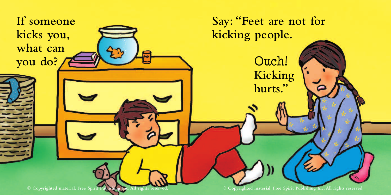